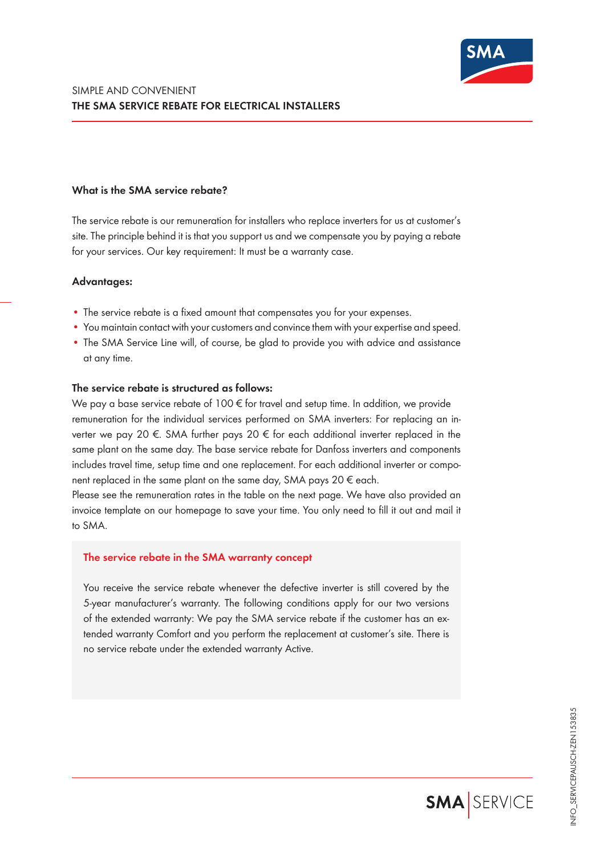

## **What is the SMA service rebate?**

The service rebate is our remuneration for installers who replace inverters for us at customer's site. The principle behind it is that you support us and we compensate you by paying a rebate for your services. Our key requirement: It must be a warranty case.

### **Advantages:**

- The service rebate is a fixed amount that compensates you for your expenses.
- You maintain contact with your customers and convince them with your expertise and speed.
- The SMA Service Line will, of course, be glad to provide you with advice and assistance at any time.

## **The service rebate is structured as follows:**

We pay a base service rebate of  $100 \epsilon$  for travel and setup time. In addition, we provide remuneration for the individual services performed on SMA inverters: For replacing an inverter we pay 20 €. SMA further pays 20 € for each additional inverter replaced in the same plant on the same day. The base service rebate for Danfoss inverters and components includes travel time, setup time and one replacement. For each additional inverter or component replaced in the same plant on the same day, SMA pays 20  $\epsilon$  each.

Please see the remuneration rates in the table on the next page. We have also provided an invoice template on our homepage to save your time. You only need to fill it out and mail it to SMA.

### **The service rebate in the SMA warranty concept**

You receive the service rebate whenever the defective inverter is still covered by the 5-year manufacturer's warranty. The following conditions apply for our two versions of the extended warranty: We pay the SMA service rebate if the customer has an extended warranty Comfort and you perform the replacement at customer's site. There is no service rebate under the extended warranty Active.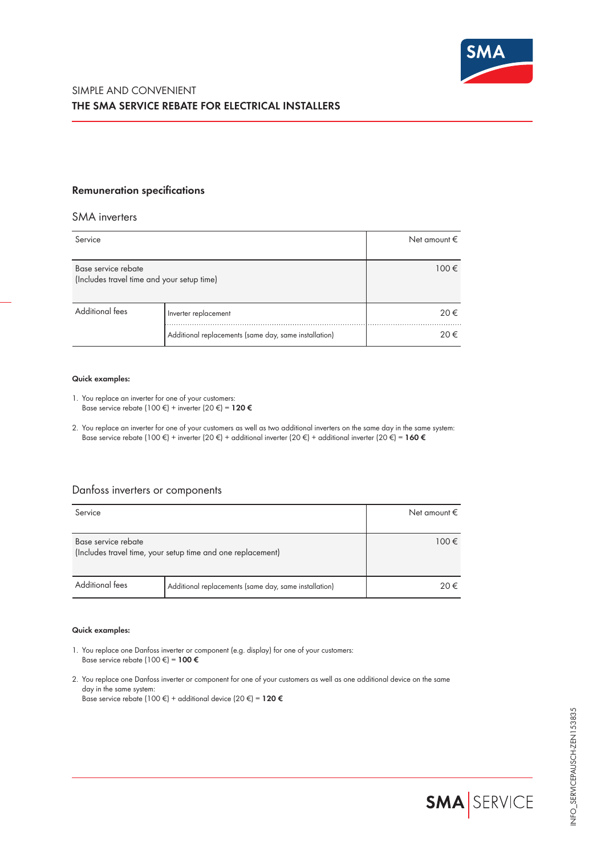

## **Remuneration specifications**

### SMA inverters

| Service                                                           |                                                       | Net amount $\epsilon$ |
|-------------------------------------------------------------------|-------------------------------------------------------|-----------------------|
| Base service rebate<br>(Includes travel time and your setup time) |                                                       | $100 \in$             |
| <b>Additional fees</b>                                            | Inverter replacement                                  | 20€                   |
|                                                                   | Additional replacements (same day, same installation) | 20€                   |

#### **Quick examples:**

- 1. You replace an inverter for one of your customers: Base service rebate (100 €) + inverter (20 €) = **120 €**
- 2. You replace an inverter for one of your customers as well as two additional inverters on the same day in the same system: Base service rebate (100 €) + inverter (20 €) + additional inverter (20 €) + additional inverter (20 €) = **160 €**

# Danfoss inverters or components

| Service                                                                            |                                                       | Net amount $\epsilon$ |
|------------------------------------------------------------------------------------|-------------------------------------------------------|-----------------------|
| Base service rebate<br>(Includes travel time, your setup time and one replacement) |                                                       | 100€                  |
| <b>Additional fees</b>                                                             | Additional replacements (same day, same installation) | 20€                   |

### **Quick examples:**

- 1. You replace one Danfoss inverter or component (e.g. display) for one of your customers: Base service rebate (100 €) = **100 €**
- 2. You replace one Danfoss inverter or component for one of your customers as well as one additional device on the same day in the same system: Base service rebate (100 €) + additional device (20 €) = **120 €**